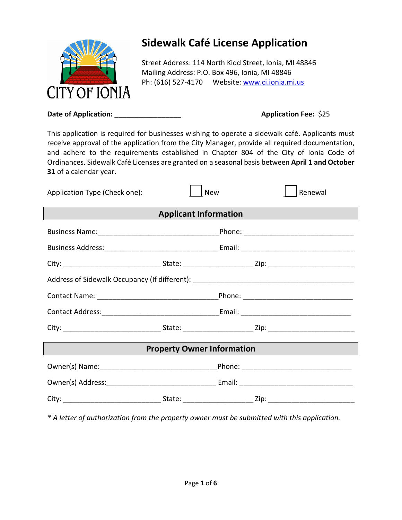

# **Sidewalk Café License Application**

Street Address: 114 North Kidd Street, Ionia, MI 48846 Mailing Address: P.O. Box 496, Ionia, MI 48846 Ph: (616) 527-4170 Website: [www.ci.ionia.mi.us](http://www.ci.ionia.mi.us/)

**Date of Application: Date of Application: Application Fee:** \$25

This application is required for businesses wishing to operate a sidewalk café. Applicants must receive approval of the application from the City Manager, provide all required documentation, and adhere to the requirements established in Chapter 804 of the City of Ionia Code of Ordinances. Sidewalk Café Licenses are granted on a seasonal basis between **April 1 and October 31** of a calendar year.

| Application Type (Check one):     | <b>New</b> |  | Renewal |  |  |  |  |
|-----------------------------------|------------|--|---------|--|--|--|--|
| <b>Applicant Information</b>      |            |  |         |  |  |  |  |
|                                   |            |  |         |  |  |  |  |
|                                   |            |  |         |  |  |  |  |
|                                   |            |  |         |  |  |  |  |
|                                   |            |  |         |  |  |  |  |
|                                   |            |  |         |  |  |  |  |
|                                   |            |  |         |  |  |  |  |
|                                   |            |  |         |  |  |  |  |
| <b>Property Owner Information</b> |            |  |         |  |  |  |  |
|                                   |            |  |         |  |  |  |  |
|                                   |            |  |         |  |  |  |  |
|                                   |            |  |         |  |  |  |  |

*\* A letter of authorization from the property owner must be submitted with this application.*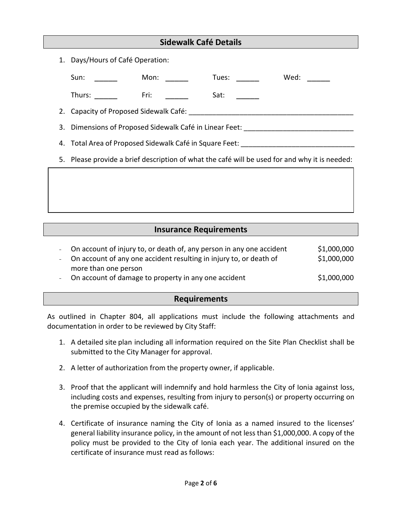#### **Sidewalk Café Details**

1. Days/Hours of Café Operation:

Sun: \_\_\_\_\_\_\_ Mon: \_\_\_\_\_\_ Tues: \_\_\_\_\_ Wed: \_\_\_\_\_ Thurs: \_\_\_\_\_\_\_\_ Fri: \_\_\_ Sat: 2. Capacity of Proposed Sidewalk Café: \_\_\_\_\_\_\_\_\_\_\_\_\_\_\_\_\_\_\_\_\_\_\_\_\_\_\_\_\_\_\_\_\_\_\_\_\_\_\_\_\_\_

3. Dimensions of Proposed Sidewalk Café in Linear Feet: \_\_\_\_\_\_\_\_\_\_\_\_\_\_\_\_\_\_\_\_\_\_\_\_\_

4. Total Area of Proposed Sidewalk Café in Square Feet:

5. Please provide a brief description of what the café will be used for and why it is needed:

#### **Insurance Requirements**

- On account of injury to, or death of, any person in any one accident \$1,000,000 - On account of any one accident resulting in injury to, or death of  $$1,000,000$ more than one person
- On account of damage to property in any one accident  $$1,000,000$

#### **Requirements**

As outlined in Chapter 804, all applications must include the following attachments and documentation in order to be reviewed by City Staff:

- 1. A detailed site plan including all information required on the Site Plan Checklist shall be submitted to the City Manager for approval.
- 2. A letter of authorization from the property owner, if applicable.
- 3. Proof that the applicant will indemnify and hold harmless the City of Ionia against loss, including costs and expenses, resulting from injury to person(s) or property occurring on the premise occupied by the sidewalk café.
- 4. Certificate of insurance naming the City of Ionia as a named insured to the licenses' general liability insurance policy, in the amount of not less than \$1,000,000. A copy of the policy must be provided to the City of Ionia each year. The additional insured on the certificate of insurance must read as follows: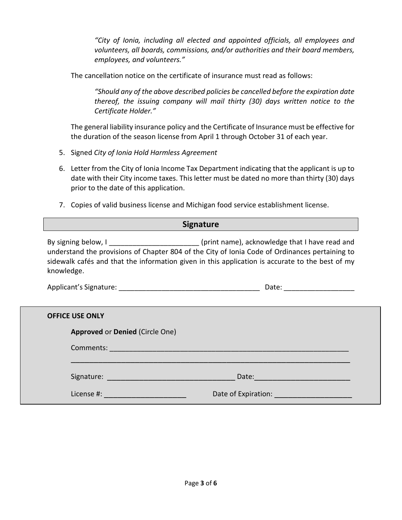*"City of Ionia, including all elected and appointed officials, all employees and volunteers, all boards, commissions, and/or authorities and their board members, employees, and volunteers."*

The cancellation notice on the certificate of insurance must read as follows:

*"Should any of the above described policies be cancelled before the expiration date thereof, the issuing company will mail thirty (30) days written notice to the Certificate Holder."*

The general liability insurance policy and the Certificate of Insurance must be effective for the duration of the season license from April 1 through October 31 of each year.

- 5. Signed *City of Ionia Hold Harmless Agreement*
- 6. Letter from the City of Ionia Income Tax Department indicating that the applicant is up to date with their City income taxes. This letter must be dated no more than thirty (30) days prior to the date of this application.
- 7. Copies of valid business license and Michigan food service establishment license.

#### **Signature**

By signing below, I can be allow the setting of the setting (print name), acknowledge that I have read and understand the provisions of Chapter 804 of the City of Ionia Code of Ordinances pertaining to sidewalk cafés and that the information given in this application is accurate to the best of my knowledge.

Applicant's Signature: \_\_\_\_\_\_\_\_\_\_\_\_\_\_\_\_\_\_\_\_\_\_\_\_\_\_\_\_\_\_\_\_\_\_\_\_ Date: \_\_\_\_\_\_\_\_\_\_\_\_\_\_\_\_\_\_

| <b>OFFICE USE ONLY</b>                                                                                                                                                                                                         |                                                                                                                |
|--------------------------------------------------------------------------------------------------------------------------------------------------------------------------------------------------------------------------------|----------------------------------------------------------------------------------------------------------------|
| <b>Approved or Denied (Circle One)</b>                                                                                                                                                                                         |                                                                                                                |
|                                                                                                                                                                                                                                |                                                                                                                |
|                                                                                                                                                                                                                                |                                                                                                                |
|                                                                                                                                                                                                                                | Date: with the contract of the contract of the contract of the contract of the contract of the contract of the |
| License #: New York Products and Allen and Allen and Allen and Allen and Allen and Allen and Allen and Allen and Allen and Allen and Allen and Allen and Allen and Allen and Allen and Allen and Allen and Allen and Allen and | Date of Expiration: <b>Expiration Expiration Expiration</b>                                                    |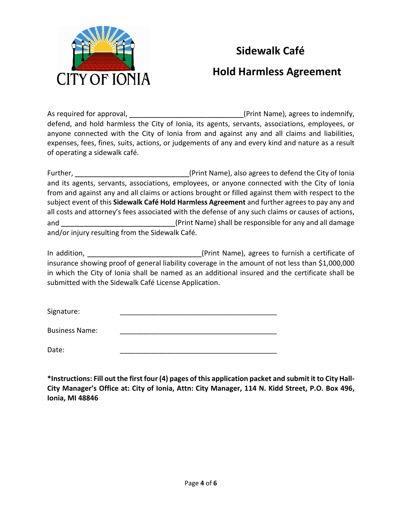

# **Sidewalk Café**

## **Hold Harmless Agreement**

As required for approval, As required for approval, As required for approval, Assessment Contract and Assessment Contract and Assessment Contract and Assessment Contract and Assessment Contract and Assessment Contract and defend, and hold harmless the City of Ionia, its agents, servants, associations, employees, or anyone connected with the City of Ionia from and against any and all claims and liabilities, expenses, fees, fines, suits, actions, or judgements of any and every kind and nature as a result of operating a sidewalk café.

Further, \_\_\_\_\_\_\_\_\_\_\_\_\_\_\_\_\_\_\_\_\_\_\_\_\_\_\_\_\_\_\_\_\_(Print Name), also agrees to defend the City of Ionia and its agents, servants, associations, employees, or anyone connected with the City of Ionia from and against any and all claims or actions brought or filled against them with respect to the subject event of this **Sidewalk Café Hold Harmless Agreement** and further agrees to pay any and all costs and attorney's fees associated with the defense of any such claims or causes of actions, and \_\_\_\_\_\_\_\_\_\_\_\_\_\_\_\_\_\_\_\_\_\_\_\_\_\_\_\_\_\_(Print Name) shall be responsible for any and all damage and/or injury resulting from the Sidewalk Café.

In addition, The addition, the same of the same (Print Name), agrees to furnish a certificate of insurance showing proof of general liability coverage in the amount of not less than \$1,000,000 in which the City of Ionia shall be named as an additional insured and the certificate shall be submitted with the Sidewalk Café License Application.

Signature:

Business Name:

Date: \_\_\_\_\_\_\_\_\_\_\_\_\_\_\_\_\_\_\_\_\_\_\_\_\_\_\_\_\_\_\_\_\_\_\_\_\_\_\_\_

**\*Instructions: Fill out the first four (4) pages of this application packet and submit it to City Hall-City Manager's Office at: City of Ionia, Attn: City Manager, 114 N. Kidd Street, P.O. Box 496, Ionia, MI 48846**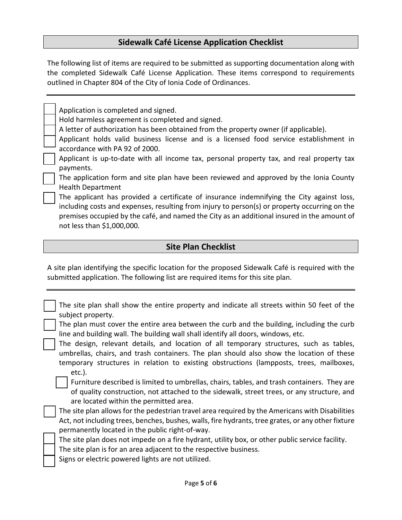#### **Sidewalk Café License Application Checklist**

The following list of items are required to be submitted as supporting documentation along with the completed Sidewalk Café License Application. These items correspond to requirements outlined in Chapter 804 of the City of Ionia Code of Ordinances.

Application is completed and signed.

Hold harmless agreement is completed and signed.

A letter of authorization has been obtained from the property owner (if applicable).

 Applicant holds valid business license and is a licensed food service establishment in accordance with PA 92 of 2000.

 Applicant is up-to-date with all income tax, personal property tax, and real property tax payments.

 The application form and site plan have been reviewed and approved by the Ionia County Health Department

 The applicant has provided a certificate of insurance indemnifying the City against loss, including costs and expenses, resulting from injury to person(s) or property occurring on the premises occupied by the café, and named the City as an additional insured in the amount of not less than \$1,000,000.

### **Site Plan Checklist**

A site plan identifying the specific location for the proposed Sidewalk Café is required with the submitted application. The following list are required items for this site plan.

| The site plan shall show the entire property and indicate all streets within 50 feet of the |
|---------------------------------------------------------------------------------------------|
| subject property.                                                                           |

 The plan must cover the entire area between the curb and the building, including the curb line and building wall. The building wall shall identify all doors, windows, etc.

 The design, relevant details, and location of all temporary structures, such as tables, umbrellas, chairs, and trash containers. The plan should also show the location of these temporary structures in relation to existing obstructions (lampposts, trees, mailboxes, etc.).

 Furniture described is limited to umbrellas, chairs, tables, and trash containers. They are of quality construction, not attached to the sidewalk, street trees, or any structure, and are located within the permitted area.

 The site plan allows for the pedestrian travel area required by the Americans with Disabilities Act, not including trees, benches, bushes, walls, fire hydrants, tree grates, or any other fixture permanently located in the public right-of-way.

The site plan does not impede on a fire hydrant, utility box, or other public service facility.

The site plan is for an area adjacent to the respective business.

Signs or electric powered lights are not utilized.